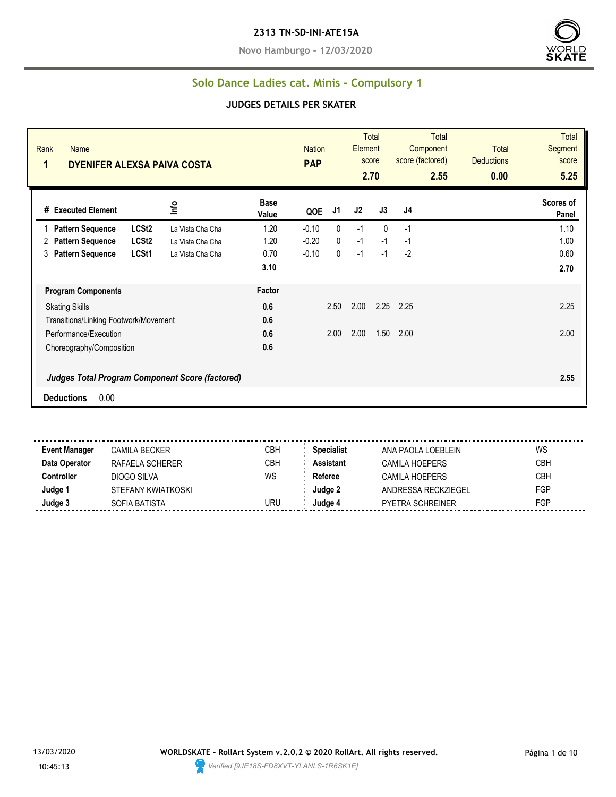#### **2313 TN-SD-INI-ATE15A**

**Novo Hamburgo - 12/03/2020**



#### **Solo Dance Ladies cat. Minis - Compulsory 1**

#### **JUDGES DETAILS PER SKATER**

| Rank<br><b>Name</b><br>1<br>DYENIFER ALEXSA PAIVA COSTA                             |                      | <b>Nation</b><br><b>PAP</b> |      | <b>Element</b> | Total<br>score<br>2.70 | <b>Total</b><br>Component<br>score (factored)<br>2.55 | <b>Total</b><br><b>Deductions</b><br>0.00 | <b>Total</b><br>Segment<br>score<br>5.25 |
|-------------------------------------------------------------------------------------|----------------------|-----------------------------|------|----------------|------------------------|-------------------------------------------------------|-------------------------------------------|------------------------------------------|
| Info<br># Executed Element                                                          | <b>Base</b><br>Value | QOE                         | J1   | J2             | J3                     | J4                                                    |                                           | Scores of<br>Panel                       |
| LCSt <sub>2</sub><br><b>Pattern Sequence</b><br>La Vista Cha Cha                    | 1.20                 | $-0.10$                     | 0    | $-1$           | $\mathbf{0}$           | $-1$                                                  |                                           | 1.10                                     |
| LCSt <sub>2</sub><br><b>Pattern Sequence</b><br>La Vista Cha Cha<br>2               | 1.20                 | $-0.20$                     | 0    | $-1$           | $-1$                   | $-1$                                                  |                                           | 1.00                                     |
| LCSt1<br>3<br><b>Pattern Sequence</b><br>La Vista Cha Cha                           | 0.70                 | $-0.10$                     | 0    | $-1$           | $-1$                   | $-2$                                                  |                                           | 0.60                                     |
|                                                                                     | 3.10                 |                             |      |                |                        |                                                       |                                           | 2.70                                     |
| <b>Program Components</b>                                                           | Factor               |                             |      |                |                        |                                                       |                                           |                                          |
| <b>Skating Skills</b>                                                               | 0.6                  |                             | 2.50 | 2.00           | 2.25                   | 2.25                                                  |                                           | 2.25                                     |
| Transitions/Linking Footwork/Movement                                               | 0.6                  |                             |      |                |                        |                                                       |                                           |                                          |
| Performance/Execution                                                               | 0.6                  |                             | 2.00 | 2.00           | 1.50                   | 2.00                                                  |                                           | 2.00                                     |
| Choreography/Composition                                                            | 0.6                  |                             |      |                |                        |                                                       |                                           |                                          |
| <b>Judges Total Program Component Score (factored)</b><br>0.00<br><b>Deductions</b> |                      |                             |      |                |                        |                                                       |                                           | 2.55                                     |

**Event Manager** CAMILA BECKER CREA CBH **Specialist** ANA PAOLA LOEBLEIN WS **Data Operator** RAFAELA SCHERER CBH **Assistant** CAMILA HOEPERS CBH **Controller** DIOGO SILVA WS Referee CAMILA HOEPERS CBH **Judge 1** STEFANY KWIATKOSKI **STEFANY KWIATKOSKI STEFANY KWIATKOSKI STEFANY KWIATKOSKI STEFANY KWIATKOSKI STEFANY KWIATKOSKI STEFANY KWIATKOSKI STEFANY KWIATKOSKI STEFANY KWIATKOSKI STEFANY KWIATKOSKI STEFANY KWIATKOSKI ST Judge 3** SOFIA BATISTA URU **Judge 4** PYETRA SCHREINER FGP

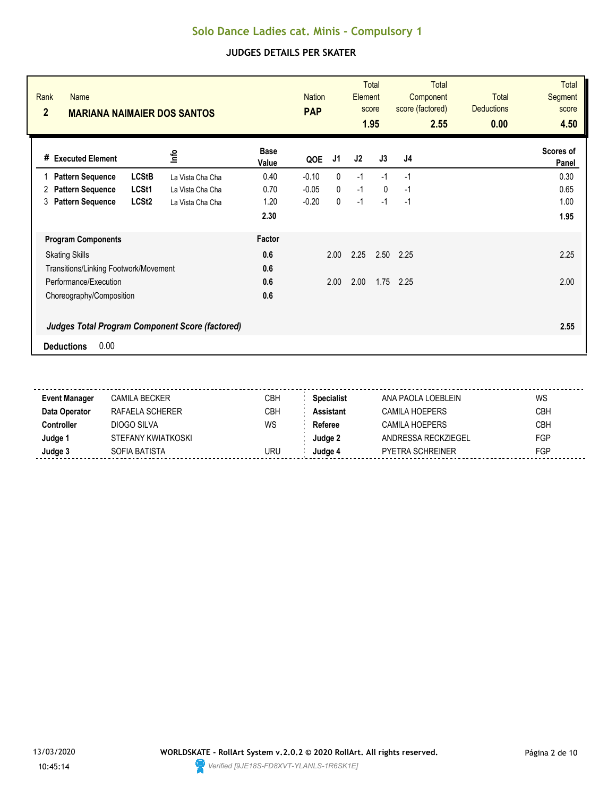| Rank<br><b>Name</b><br>$\overline{2}$<br><b>MARIANA NAIMAIER DOS SANTOS</b> |                  |                      | <b>Nation</b><br><b>PAP</b> |              | Element | <b>Total</b><br>score<br>1.95 | <b>Total</b><br>Component<br>score (factored)<br>2.55 | <b>Total</b><br><b>Deductions</b><br>0.00 | <b>Total</b><br><b>Segment</b><br>score<br>4.50 |
|-----------------------------------------------------------------------------|------------------|----------------------|-----------------------------|--------------|---------|-------------------------------|-------------------------------------------------------|-------------------------------------------|-------------------------------------------------|
| <b>Executed Element</b><br>#                                                | <u>nfo</u>       | <b>Base</b><br>Value | QOE                         | J1           | J2      | J3                            | J4                                                    |                                           | Scores of<br>Panel                              |
| <b>LCStB</b><br><b>Pattern Sequence</b>                                     | La Vista Cha Cha | 0.40                 | $-0.10$                     | 0            | $-1$    | $-1$                          | $-1$                                                  |                                           | 0.30                                            |
| LCSt1<br><b>Pattern Sequence</b><br>2                                       | La Vista Cha Cha | 0.70                 | $-0.05$                     | $\mathbf{0}$ | $-1$    | $\mathbf{0}$                  | -1                                                    |                                           | 0.65                                            |
| <b>Pattern Sequence</b><br>LCSt <sub>2</sub><br>3                           | La Vista Cha Cha | 1.20                 | $-0.20$                     | 0            | $-1$    | $-1$                          | $-1$                                                  |                                           | 1.00                                            |
|                                                                             |                  | 2.30                 |                             |              |         |                               |                                                       |                                           | 1.95                                            |
| <b>Program Components</b>                                                   |                  | Factor               |                             |              |         |                               |                                                       |                                           |                                                 |
| <b>Skating Skills</b>                                                       |                  | 0.6                  |                             | 2.00         | 2.25    | 2.50                          | 2.25                                                  |                                           | 2.25                                            |
| Transitions/Linking Footwork/Movement                                       |                  | 0.6                  |                             |              |         |                               |                                                       |                                           |                                                 |
| Performance/Execution                                                       |                  | 0.6                  |                             | 2.00         | 2.00    | 1.75                          | 2.25                                                  |                                           | 2.00                                            |
| Choreography/Composition                                                    |                  | 0.6                  |                             |              |         |                               |                                                       |                                           |                                                 |
| <b>Judges Total Program Component Score (factored)</b>                      |                  |                      |                             |              |         |                               |                                                       |                                           | 2.55                                            |
| 0.00<br><b>Deductions</b>                                                   |                  |                      |                             |              |         |                               |                                                       |                                           |                                                 |

| <b>Event Manager</b> | CAMILA BECKER      | CBH | <b>Specialist</b> | ANA PAOLA LOEBLEIN      | WS         |
|----------------------|--------------------|-----|-------------------|-------------------------|------------|
| Data Operator        | RAFAELA SCHERER    | СВН | Assistant         | CAMILA HOEPERS          | <b>CBH</b> |
| :ontroller           | DIOGO SILVA        | WS  | Referee           | CAMILA HOEPERS          | <b>CBH</b> |
| Judge '              | STEFANY KWIATKOSKI |     | Judae 2           | ANDRESSA RECKZIFGFI     | FGP        |
| Judge 3              | SOFIA BATISTA      | URU | Judge 4           | <b>PYETRA SCHREINER</b> | FGP        |
|                      |                    |     |                   |                         |            |

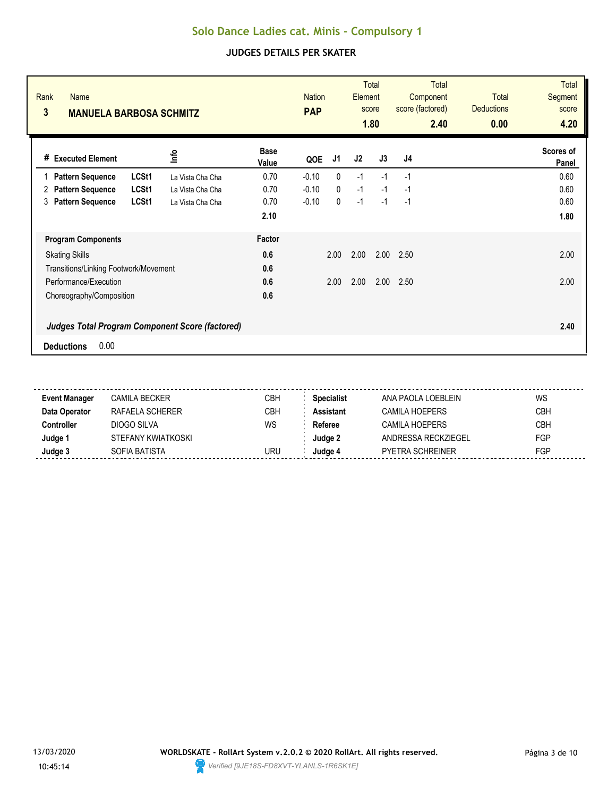| Rank<br><b>Name</b><br>3<br><b>MANUELA BARBOSA SCHMITZ</b> |       |                  |                      | <b>Nation</b><br><b>PAP</b> |              | Element | <b>Total</b><br>score<br>1.80 | Total<br>Component<br>score (factored)<br>2.40 | <b>Total</b><br><b>Deductions</b><br>0.00 | <b>Total</b><br><b>Segment</b><br>score<br>4.20 |
|------------------------------------------------------------|-------|------------------|----------------------|-----------------------------|--------------|---------|-------------------------------|------------------------------------------------|-------------------------------------------|-------------------------------------------------|
| <b>Executed Element</b><br>#                               |       | lnfo             | <b>Base</b><br>Value | QOE                         | J1           | J2      | J3                            | J <sub>4</sub>                                 |                                           | Scores of<br>Panel                              |
| <b>Pattern Sequence</b>                                    | LCSt1 | La Vista Cha Cha | 0.70                 | $-0.10$                     | 0            | $-1$    | $-1$                          | $-1$                                           |                                           | 0.60                                            |
| <b>Pattern Sequence</b><br>2                               | LCSt1 | La Vista Cha Cha | 0.70                 | $-0.10$                     | $\mathbf{0}$ | $-1$    | $-1$                          | $-1$                                           |                                           | 0.60                                            |
| <b>Pattern Sequence</b><br>3                               | LCSt1 | La Vista Cha Cha | 0.70                 | $-0.10$                     | 0            | $-1$    | $-1$                          | $-1$                                           |                                           | 0.60                                            |
|                                                            |       |                  | 2.10                 |                             |              |         |                               |                                                |                                           | 1.80                                            |
| <b>Program Components</b>                                  |       |                  | <b>Factor</b>        |                             |              |         |                               |                                                |                                           |                                                 |
| <b>Skating Skills</b>                                      |       |                  | 0.6                  |                             | 2.00         | 2.00    | 2.00                          | 2.50                                           |                                           | 2.00                                            |
| Transitions/Linking Footwork/Movement                      |       |                  | 0.6                  |                             |              |         |                               |                                                |                                           |                                                 |
| Performance/Execution                                      |       |                  | 0.6                  |                             | 2.00         | 2.00    | 2.00                          | 2.50                                           |                                           | 2.00                                            |
| Choreography/Composition                                   |       |                  | 0.6                  |                             |              |         |                               |                                                |                                           |                                                 |
| <b>Judges Total Program Component Score (factored)</b>     |       |                  |                      |                             |              |         |                               |                                                |                                           | 2.40                                            |
| 0.00<br><b>Deductions</b>                                  |       |                  |                      |                             |              |         |                               |                                                |                                           |                                                 |

| <b>Event Manager</b> | CAMILA BECKER      | CBH | <b>Specialist</b> | ANA PAOLA LOEBLEIN  | WS         |
|----------------------|--------------------|-----|-------------------|---------------------|------------|
| Data Operator        | RAFAELA SCHERER    | CBH | Assistant         | CAMILA HOEPFRS      | <b>CBH</b> |
| :ontroller           | DIOGO SILVA        | WS  | Referee           | CAMILA HOFPFRS      | CBH        |
| Judge 1              | STEFANY KWIATKOSKI |     | Judqe 2           | ANDRESSA RECKZIEGEL | <b>FGP</b> |
| Judge 3              | SOFIA BATISTA      | uru | Judae 4           | PYETRA SCHREINER    | FGP        |
|                      |                    |     |                   |                     |            |

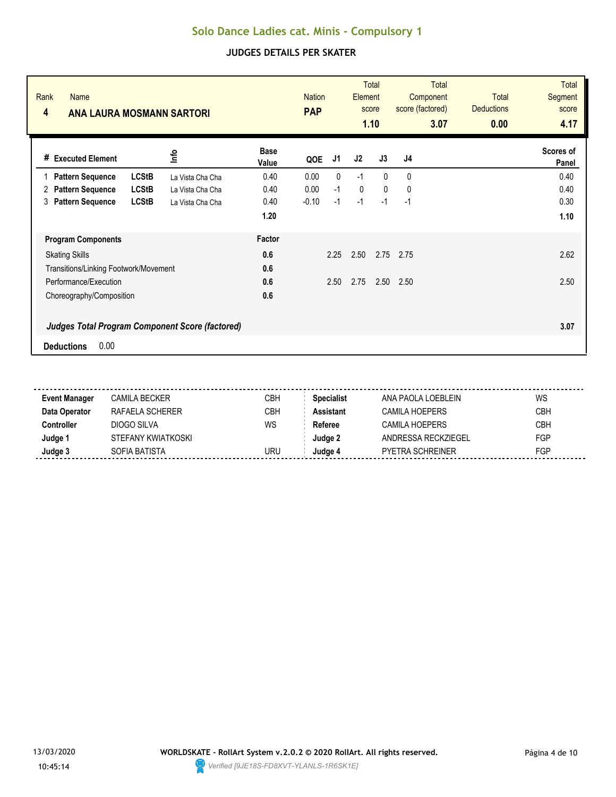| Rank<br><b>Name</b><br>4<br><b>ANA LAURA MOSMANN SARTORI</b> |                  |                      | <b>Nation</b><br><b>PAP</b> |      | Element     | <b>Total</b><br>score<br>1.10 | <b>Total</b><br>Component<br>score (factored)<br>3.07 | <b>Total</b><br><b>Deductions</b><br>0.00 | <b>Total</b><br><b>Segment</b><br>score<br>4.17 |
|--------------------------------------------------------------|------------------|----------------------|-----------------------------|------|-------------|-------------------------------|-------------------------------------------------------|-------------------------------------------|-------------------------------------------------|
| <b>Executed Element</b><br>#                                 | <u>nfo</u>       | <b>Base</b><br>Value | QOE                         | J1   | J2          | J3                            | J4                                                    |                                           | Scores of<br>Panel                              |
| <b>LCStB</b><br><b>Pattern Sequence</b>                      | La Vista Cha Cha | 0.40                 | 0.00                        | 0    | $-1$        | $\mathbf{0}$                  | $\mathbf{0}$                                          |                                           | 0.40                                            |
| <b>LCStB</b><br><b>Pattern Sequence</b><br>2                 | La Vista Cha Cha | 0.40                 | 0.00                        | $-1$ | $\mathbf 0$ | $\mathbf{0}$                  | 0                                                     |                                           | 0.40                                            |
| <b>Pattern Sequence</b><br><b>LCStB</b><br>3                 | La Vista Cha Cha | 0.40                 | $-0.10$                     | $-1$ | $-1$        | $-1$                          | $-1$                                                  |                                           | 0.30                                            |
|                                                              |                  | 1.20                 |                             |      |             |                               |                                                       |                                           | 1.10                                            |
| <b>Program Components</b>                                    |                  | Factor               |                             |      |             |                               |                                                       |                                           |                                                 |
| <b>Skating Skills</b>                                        |                  | 0.6                  |                             | 2.25 | 2.50        | 2.75                          | 2.75                                                  |                                           | 2.62                                            |
| Transitions/Linking Footwork/Movement                        |                  | 0.6                  |                             |      |             |                               |                                                       |                                           |                                                 |
| Performance/Execution                                        |                  | 0.6                  |                             | 2.50 | 2.75        | 2.50                          | 2.50                                                  |                                           | 2.50                                            |
| Choreography/Composition                                     |                  | 0.6                  |                             |      |             |                               |                                                       |                                           |                                                 |
| <b>Judges Total Program Component Score (factored)</b>       |                  |                      |                             |      |             |                               |                                                       |                                           | 3.07                                            |
| 0.00<br><b>Deductions</b>                                    |                  |                      |                             |      |             |                               |                                                       |                                           |                                                 |

| <b>Event Manager</b> | CAMILA BECKER      | СВН        | <b>Specialist</b> | ANA PAOLA LOEBLEIN      | WS         |
|----------------------|--------------------|------------|-------------------|-------------------------|------------|
| Data Operator        | RAFAELA SCHERER    | <b>CBH</b> | Assistant         | <b>CAMILA HOEPERS</b>   | <b>CBH</b> |
| :ontroller           | DIOGO SILVA        | WS         | Referee           | CAMILA HOEPERS          | <b>CBH</b> |
| Judge '              | STEFANY KWIATKOSKI |            | Judae 2           | ANDRESSA RECKZIEGEL     | <b>FGP</b> |
| Judge 3              | SOFIA BATISTA      | uru        | Judae 4           | <b>PYETRA SCHREINER</b> | FGP        |
|                      |                    |            |                   |                         |            |

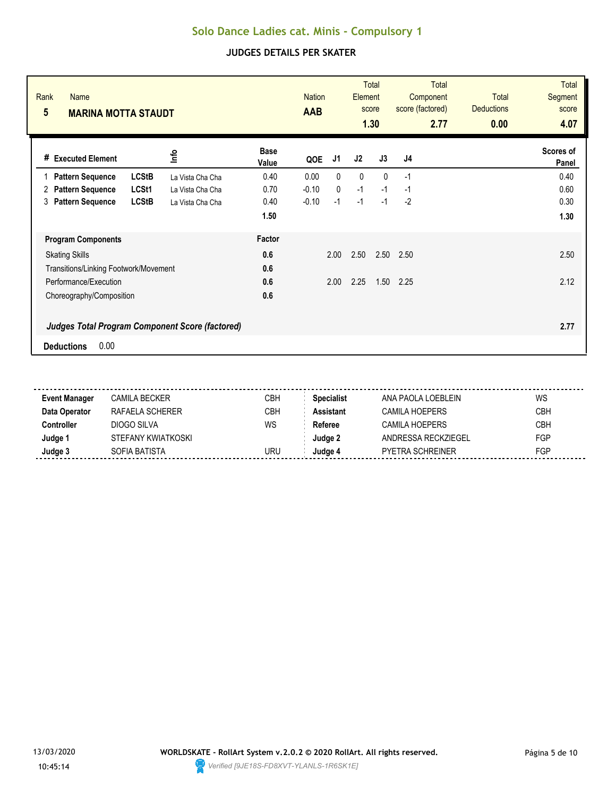| Rank<br><b>Name</b><br>$5\phantom{.0}$<br><b>MARINA MOTTA STAUDT</b>                |                          | <b>Nation</b><br><b>AAB</b> | Element | <b>Total</b><br>score<br>1.30 | <b>Total</b><br>Component<br>score (factored)<br>2.77 | Total<br><b>Deductions</b><br>0.00 | <b>Total</b><br><b>Segment</b><br>score<br>4.07 |
|-------------------------------------------------------------------------------------|--------------------------|-----------------------------|---------|-------------------------------|-------------------------------------------------------|------------------------------------|-------------------------------------------------|
| <u>lnfo</u><br># Executed Element                                                   | <b>Base</b><br>Value     | J1<br>QOE                   | J2      | J3                            | J4                                                    |                                    | Scores of<br>Panel                              |
| <b>LCStB</b><br><b>Pattern Sequence</b>                                             | 0.40<br>La Vista Cha Cha | $\mathbf{0}$<br>0.00        | 0       | $\Omega$                      | $-1$                                                  |                                    | 0.40                                            |
| LCSt1<br><b>Pattern Sequence</b><br>2                                               | 0.70<br>La Vista Cha Cha | $\mathbf{0}$<br>$-0.10$     | $-1$    | $-1$                          | $-1$                                                  |                                    | 0.60                                            |
| <b>LCStB</b><br><b>Pattern Sequence</b><br>3                                        | 0.40<br>La Vista Cha Cha | $-0.10$<br>$-1$             | $-1$    | $-1$                          | $-2$                                                  |                                    | 0.30                                            |
|                                                                                     | 1.50                     |                             |         |                               |                                                       |                                    | 1.30                                            |
| <b>Program Components</b>                                                           | Factor                   |                             |         |                               |                                                       |                                    |                                                 |
| <b>Skating Skills</b>                                                               | 0.6                      | 2.00                        | 2.50    | 2.50                          | 2.50                                                  |                                    | 2.50                                            |
| Transitions/Linking Footwork/Movement                                               | 0.6                      |                             |         |                               |                                                       |                                    |                                                 |
| Performance/Execution                                                               | 0.6                      | 2.00                        | 2.25    | 1.50                          | 2.25                                                  |                                    | 2.12                                            |
| Choreography/Composition                                                            | 0.6                      |                             |         |                               |                                                       |                                    |                                                 |
| <b>Judges Total Program Component Score (factored)</b><br>0.00<br><b>Deductions</b> |                          |                             |         |                               |                                                       |                                    | 2.77                                            |

| <b>Event Manager</b> | CAMILA BECKER      | CBH | Specialist | ANA PAOLA LOEBLEIN      | WS         |
|----------------------|--------------------|-----|------------|-------------------------|------------|
| Data Operator        | RAFAFI A SCHFRFR   | CBH | Assistant  | <b>CAMILA HOEPERS</b>   | <b>CBH</b> |
| Controller           | DIOGO SILVA        | WS  | Referee    | CAMILA HOEPERS          | <b>CBH</b> |
| Judge 1              | STEFANY KWIATKOSKI |     | Judge 2    | ANDRESSA RECKZIEGEL     | <b>FGP</b> |
| Judge 3              | SOFIA BATISTA      | uru | Judae 4    | <b>PYETRA SCHREINER</b> | FGP        |
|                      |                    |     |            |                         |            |

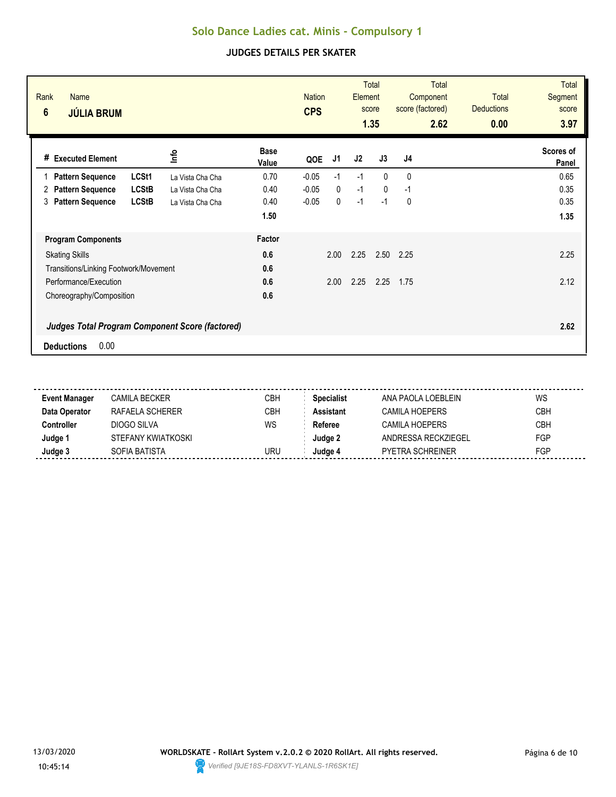| Rank<br><b>Name</b><br>$6\phantom{1}$<br><b>JÚLIA BRUM</b> |              |                  |                      | <b>Nation</b><br><b>CPS</b> |              | Element | <b>Total</b><br>score<br>1.35 | <b>Total</b><br>Component<br>score (factored)<br>2.62 | <b>Total</b><br><b>Deductions</b><br>0.00 | <b>Total</b><br><b>Segment</b><br>score<br>3.97 |
|------------------------------------------------------------|--------------|------------------|----------------------|-----------------------------|--------------|---------|-------------------------------|-------------------------------------------------------|-------------------------------------------|-------------------------------------------------|
| # Executed Element                                         |              | ٩ų               | <b>Base</b><br>Value | QOE                         | J1           | J2      | J3                            | J4                                                    |                                           | Scores of<br>Panel                              |
| <b>Pattern Sequence</b>                                    | LCSt1        | La Vista Cha Cha | 0.70                 | $-0.05$                     | $-1$         | $-1$    | $\Omega$                      | $\mathbf{0}$                                          |                                           | 0.65                                            |
| <b>Pattern Sequence</b><br>2                               | <b>LCStB</b> | La Vista Cha Cha | 0.40                 | $-0.05$                     | $\mathbf{0}$ | $-1$    | $\Omega$                      | $-1$                                                  |                                           | 0.35                                            |
| <b>Pattern Sequence</b><br>3                               | <b>LCStB</b> | La Vista Cha Cha | 0.40                 | $-0.05$                     | 0            | $-1$    | $-1$                          | 0                                                     |                                           | 0.35                                            |
|                                                            |              |                  | 1.50                 |                             |              |         |                               |                                                       |                                           | 1.35                                            |
| <b>Program Components</b>                                  |              |                  | Factor               |                             |              |         |                               |                                                       |                                           |                                                 |
| <b>Skating Skills</b>                                      |              |                  | 0.6                  |                             | 2.00         | 2.25    | 2.50                          | 2.25                                                  |                                           | 2.25                                            |
| Transitions/Linking Footwork/Movement                      |              |                  | 0.6                  |                             |              |         |                               |                                                       |                                           |                                                 |
| Performance/Execution                                      |              |                  | 0.6                  |                             | 2.00         | 2.25    | 2.25                          | 1.75                                                  |                                           | 2.12                                            |
| Choreography/Composition                                   |              |                  | 0.6                  |                             |              |         |                               |                                                       |                                           |                                                 |
| <b>Judges Total Program Component Score (factored)</b>     |              |                  |                      |                             |              |         |                               |                                                       |                                           | 2.62                                            |
| 0.00<br><b>Deductions</b>                                  |              |                  |                      |                             |              |         |                               |                                                       |                                           |                                                 |

| <b>Event Manager</b> | CAMILA BECKER      | СВН        | <b>Specialist</b> | ANA PAOLA LOEBLEIN      | WS         |
|----------------------|--------------------|------------|-------------------|-------------------------|------------|
| Data Operator        | RAFAELA SCHERER    | <b>CBH</b> | Assistant         | <b>CAMILA HOEPERS</b>   | <b>CBH</b> |
| :ontroller           | DIOGO SILVA        | WS         | Referee           | CAMILA HOEPERS          | <b>CBH</b> |
| Judge '              | STEFANY KWIATKOSKI |            | Judae 2           | ANDRESSA RECKZIEGEL     | <b>FGP</b> |
| Judge 3              | SOFIA BATISTA      | uru        | Judae 4           | <b>PYETRA SCHREINER</b> | FGP        |
|                      |                    |            |                   |                         |            |

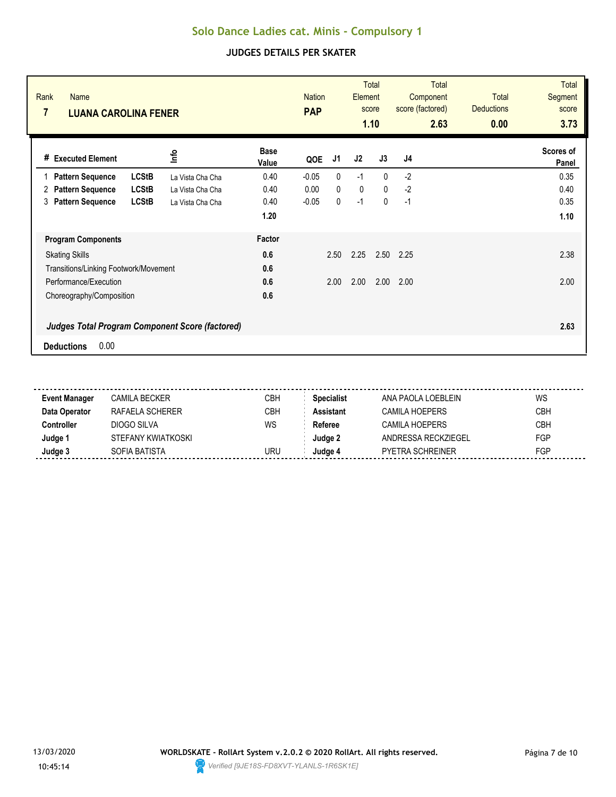| Rank<br><b>Name</b><br>$\overline{7}$<br><b>LUANA CAROLINA FENER</b> |                                                        |                      | <b>Nation</b><br><b>PAP</b> |              | Element | <b>Total</b><br>score<br>1.10 | <b>Total</b><br>Component<br>score (factored)<br>2.63 | Total<br><b>Deductions</b><br>0.00 | <b>Total</b><br><b>Segment</b><br>score<br>3.73 |
|----------------------------------------------------------------------|--------------------------------------------------------|----------------------|-----------------------------|--------------|---------|-------------------------------|-------------------------------------------------------|------------------------------------|-------------------------------------------------|
| # Executed Element                                                   | <u>lnfo</u>                                            | <b>Base</b><br>Value | QOE                         | J1           | J2      | J3                            | J4                                                    |                                    | Scores of<br>Panel                              |
| <b>Pattern Sequence</b>                                              | <b>LCStB</b><br>La Vista Cha Cha                       | 0.40                 | $-0.05$                     | $\mathbf{0}$ | $-1$    | $\Omega$                      | $-2$                                                  |                                    | 0.35                                            |
| <b>Pattern Sequence</b><br>2                                         | <b>LCStB</b><br>La Vista Cha Cha                       | 0.40                 | 0.00                        | $\mathbf{0}$ | 0       | $\mathbf{0}$                  | $-2$                                                  |                                    | 0.40                                            |
| <b>Pattern Sequence</b><br>3                                         | <b>LCStB</b><br>La Vista Cha Cha                       | 0.40                 | $-0.05$                     | 0            | $-1$    | $\mathbf 0$                   | $-1$                                                  |                                    | 0.35                                            |
|                                                                      |                                                        | 1.20                 |                             |              |         |                               |                                                       |                                    | 1.10                                            |
| <b>Program Components</b>                                            |                                                        | Factor               |                             |              |         |                               |                                                       |                                    |                                                 |
| <b>Skating Skills</b>                                                |                                                        | 0.6                  |                             | 2.50         | 2.25    | 2.50                          | 2.25                                                  |                                    | 2.38                                            |
| Transitions/Linking Footwork/Movement                                |                                                        | 0.6                  |                             |              |         |                               |                                                       |                                    |                                                 |
| Performance/Execution                                                |                                                        | 0.6                  |                             | 2.00         | 2.00    | 2.00                          | 2.00                                                  |                                    | 2.00                                            |
| Choreography/Composition                                             |                                                        | 0.6                  |                             |              |         |                               |                                                       |                                    |                                                 |
| 0.00<br><b>Deductions</b>                                            | <b>Judges Total Program Component Score (factored)</b> |                      |                             |              |         |                               |                                                       |                                    | 2.63                                            |

| <b>Event Manager</b> | CAMILA BECKER      | СВН        | <b>Specialist</b> | ANA PAOLA LOEBLEIN      | WS         |
|----------------------|--------------------|------------|-------------------|-------------------------|------------|
| Data Operator        | RAFAELA SCHERER    | <b>CBH</b> | Assistant         | <b>CAMILA HOEPERS</b>   | <b>CBH</b> |
| :ontroller           | DIOGO SILVA        | WS         | Referee           | CAMILA HOEPERS          | <b>CBH</b> |
| Judge '              | STEFANY KWIATKOSKI |            | Judae 2           | ANDRESSA RECKZIEGEL     | <b>FGP</b> |
| Judge 3              | SOFIA BATISTA      | uru        | Judae 4           | <b>PYETRA SCHREINER</b> | FGP        |
|                      |                    |            |                   |                         |            |

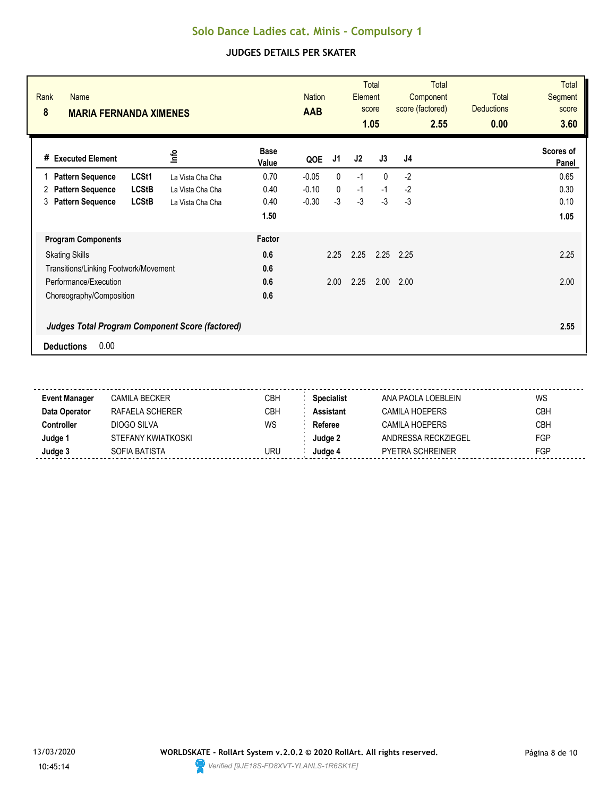|                                                                                     |                      |         |              |      | score<br>1.05 | Component<br>score (factored)<br>2.55 | Total<br><b>Deductions</b><br>0.00 | <b>Segment</b><br>score<br>3.60 |
|-------------------------------------------------------------------------------------|----------------------|---------|--------------|------|---------------|---------------------------------------|------------------------------------|---------------------------------|
| lnfo<br><b>Executed Element</b><br>#                                                | <b>Base</b><br>Value | QOE     | J1           | J2   | J3            | J4                                    |                                    | Scores of<br>Panel              |
| LCSt1<br><b>Pattern Sequence</b><br>La Vista Cha Cha                                | 0.70                 | $-0.05$ | $\mathbf{0}$ | $-1$ | $\Omega$      | $-2$                                  |                                    | 0.65                            |
| <b>LCStB</b><br><b>Pattern Sequence</b><br>2<br>La Vista Cha Cha                    | 0.40                 | $-0.10$ | 0            | $-1$ | $-1$          | $-2$                                  |                                    | 0.30                            |
| <b>Pattern Sequence</b><br><b>LCStB</b><br>3<br>La Vista Cha Cha                    | 0.40                 | $-0.30$ | $-3$         | $-3$ | $-3$          | $-3$                                  |                                    | 0.10                            |
|                                                                                     | 1.50                 |         |              |      |               |                                       |                                    | 1.05                            |
| <b>Program Components</b>                                                           | Factor               |         |              |      |               |                                       |                                    |                                 |
| <b>Skating Skills</b>                                                               | 0.6                  |         | 2.25         | 2.25 | 2.25          | 2.25                                  |                                    | 2.25                            |
| Transitions/Linking Footwork/Movement                                               | 0.6                  |         |              |      |               |                                       |                                    |                                 |
| Performance/Execution                                                               | 0.6                  |         | 2.00         | 2.25 | 2.00          | 2.00                                  |                                    | 2.00                            |
| Choreography/Composition                                                            | 0.6                  |         |              |      |               |                                       |                                    |                                 |
| <b>Judges Total Program Component Score (factored)</b><br>0.00<br><b>Deductions</b> |                      |         |              |      |               |                                       |                                    | 2.55                            |

| <b>Event Manager</b> | CAMILA BECKER      | CBH | <b>Specialist</b> | ANA PAOLA LOEBLEIN      | WS         |
|----------------------|--------------------|-----|-------------------|-------------------------|------------|
| Data Operator        | RAFAFI A SCHFRFR   | CBH | <b>Assistant</b>  | CAMILA HOFPERS          | <b>CBH</b> |
| Controller           | DIOGO SILVA        | WS  | Referee           | CAMILA HOFPERS          | <b>CBH</b> |
| Judge 1              | STEFANY KWIATKOSKI |     | Judge 2           | ANDRESSA RECKZIEGEL     | <b>FGP</b> |
| Judge 3              | SOFIA BATISTA      | URU | Judge 4           | <b>PYETRA SCHREINER</b> | FGP        |
|                      |                    |     |                   |                         |            |

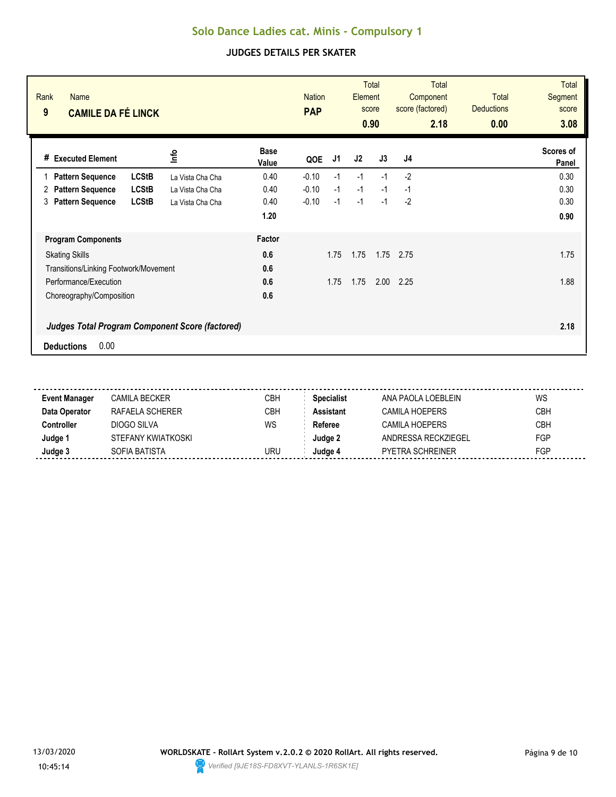| Rank<br><b>Name</b><br>9<br><b>CAMILE DA FÉ LINCK</b>                               |                      | <b>Nation</b><br><b>PAP</b> | Element | <b>Total</b><br>score<br>0.90 | <b>Total</b><br>Component<br>score (factored)<br>2.18 | Total<br><b>Deductions</b><br>0.00 | <b>Total</b><br><b>Segment</b><br>score<br>3.08 |
|-------------------------------------------------------------------------------------|----------------------|-----------------------------|---------|-------------------------------|-------------------------------------------------------|------------------------------------|-------------------------------------------------|
| <u>lnfo</u><br># Executed Element                                                   | <b>Base</b><br>Value | J1<br>QOE                   | J2      | J3                            | J4                                                    |                                    | Scores of<br>Panel                              |
| <b>LCStB</b><br><b>Pattern Sequence</b><br>La Vista Cha Cha                         | 0.40                 | $-0.10$<br>$-1$             | $-1$    | $-1$                          | $-2$                                                  |                                    | 0.30                                            |
| <b>LCStB</b><br><b>Pattern Sequence</b><br>2<br>La Vista Cha Cha                    | 0.40                 | $-0.10$<br>$-1$             | $-1$    | $-1$                          | $-1$                                                  |                                    | 0.30                                            |
| <b>LCStB</b><br><b>Pattern Sequence</b><br>3<br>La Vista Cha Cha                    | 0.40                 | $-0.10$<br>$-1$             | $-1$    | $-1$                          | $-2$                                                  |                                    | 0.30                                            |
|                                                                                     | 1.20                 |                             |         |                               |                                                       |                                    | 0.90                                            |
| <b>Program Components</b>                                                           | Factor               |                             |         |                               |                                                       |                                    |                                                 |
| <b>Skating Skills</b>                                                               | 0.6                  | 1.75                        | 1.75    | 1.75                          | 2.75                                                  |                                    | 1.75                                            |
| Transitions/Linking Footwork/Movement                                               | 0.6                  |                             |         |                               |                                                       |                                    |                                                 |
| Performance/Execution                                                               | 0.6                  | 1.75                        | 1.75    | 2.00                          | 2.25                                                  |                                    | 1.88                                            |
| Choreography/Composition                                                            | 0.6                  |                             |         |                               |                                                       |                                    |                                                 |
| <b>Judges Total Program Component Score (factored)</b><br>0.00<br><b>Deductions</b> |                      |                             |         |                               |                                                       |                                    | 2.18                                            |

| <b>Event Manager</b> | CAMILA BECKER      | CBH | Specialist | ANA PAOLA LOEBLEIN      | WS         |
|----------------------|--------------------|-----|------------|-------------------------|------------|
| Data Operator        | RAFAFI A SCHFRFR   | CBH | Assistant  | <b>CAMILA HOEPERS</b>   | <b>CBH</b> |
| Controller           | DIOGO SILVA        | WS  | Referee    | CAMILA HOEPERS          | <b>CBH</b> |
| Judge 1              | STEFANY KWIATKOSKI |     | Judge 2    | ANDRESSA RECKZIEGEL     | <b>FGP</b> |
| Judge 3              | SOFIA BATISTA      | uru | Judae 4    | <b>PYETRA SCHREINER</b> | FGP        |
|                      |                    |     |            |                         |            |